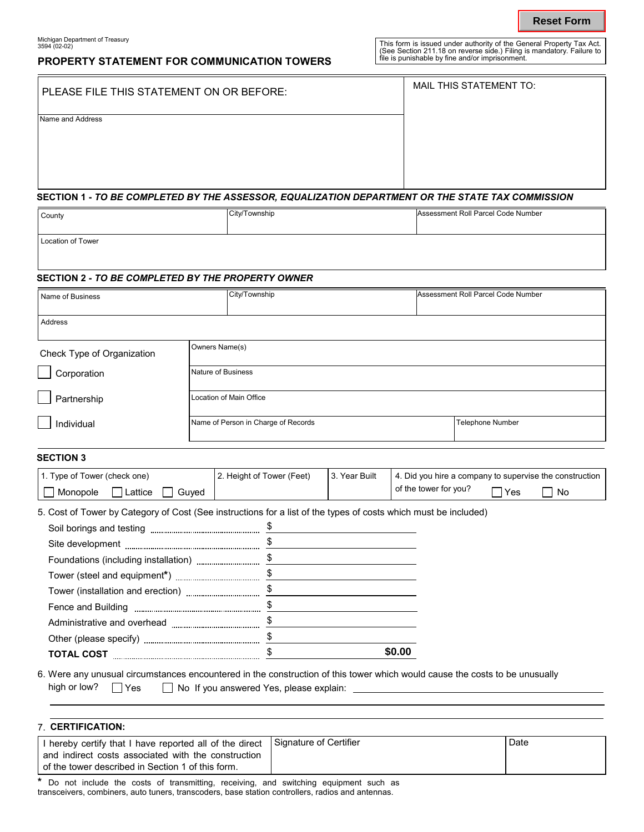# **PROPERTY STATEMENT FOR COMMUNICATION TOWERS**

| PLEASE FILE THIS STATEMENT ON OR BEFORE: | MAIL THIS STATEMENT TO: |
|------------------------------------------|-------------------------|
| <b>Jame and Address</b>                  |                         |

### **SECTION 1 -** *TO BE COMPLETED BY THE ASSESSOR, EQUALIZATION DEPARTMENT OR THE STATE TAX COMMISSION*

| County            | C <sub>th</sub> /T <sub>OM</sub> nehin | Assessment Roll Parcel Code Number |
|-------------------|----------------------------------------|------------------------------------|
| Location of Tower |                                        |                                    |

## **SECTION 2 -** *TO BE COMPLETED BY THE PROPERTY OWNER*

|                                                                                                                                                                                                                                                                       |                                                         |                           |                                                                                                                                                                                                  |        |  |                                    |     | <b>Reset Form</b>                                       |
|-----------------------------------------------------------------------------------------------------------------------------------------------------------------------------------------------------------------------------------------------------------------------|---------------------------------------------------------|---------------------------|--------------------------------------------------------------------------------------------------------------------------------------------------------------------------------------------------|--------|--|------------------------------------|-----|---------------------------------------------------------|
| Michigan Department of Treasury<br>3594 (02-02)<br><b>PROPERTY STATEMENT FOR COMMUNICATION TOWERS</b>                                                                                                                                                                 |                                                         |                           | This form is issued under authority of the General Property Tax Act.<br>(See Section 211.18 on reverse side.) Filing is mandatory. Failure to<br>file is punishable by fine and/or imprisonment. |        |  |                                    |     |                                                         |
| PLEASE FILE THIS STATEMENT ON OR BEFORE:                                                                                                                                                                                                                              |                                                         |                           | MAIL THIS STATEMENT TO:                                                                                                                                                                          |        |  |                                    |     |                                                         |
| Name and Address                                                                                                                                                                                                                                                      |                                                         |                           |                                                                                                                                                                                                  |        |  |                                    |     |                                                         |
| SECTION 1 - TO BE COMPLETED BY THE ASSESSOR, EQUALIZATION DEPARTMENT OR THE STATE TAX COMMISSION                                                                                                                                                                      |                                                         |                           |                                                                                                                                                                                                  |        |  |                                    |     |                                                         |
| County                                                                                                                                                                                                                                                                |                                                         | City/Township             |                                                                                                                                                                                                  |        |  | Assessment Roll Parcel Code Number |     |                                                         |
|                                                                                                                                                                                                                                                                       |                                                         |                           |                                                                                                                                                                                                  |        |  |                                    |     |                                                         |
| Location of Tower                                                                                                                                                                                                                                                     |                                                         |                           |                                                                                                                                                                                                  |        |  |                                    |     |                                                         |
|                                                                                                                                                                                                                                                                       |                                                         |                           |                                                                                                                                                                                                  |        |  |                                    |     |                                                         |
| <b>SECTION 2 - TO BE COMPLETED BY THE PROPERTY OWNER</b>                                                                                                                                                                                                              |                                                         |                           |                                                                                                                                                                                                  |        |  |                                    |     |                                                         |
| Name of Business                                                                                                                                                                                                                                                      |                                                         | City/Township             |                                                                                                                                                                                                  |        |  | Assessment Roll Parcel Code Number |     |                                                         |
|                                                                                                                                                                                                                                                                       |                                                         |                           |                                                                                                                                                                                                  |        |  |                                    |     |                                                         |
| Address                                                                                                                                                                                                                                                               |                                                         |                           |                                                                                                                                                                                                  |        |  |                                    |     |                                                         |
| Check Type of Organization                                                                                                                                                                                                                                            |                                                         | Owners Name(s)            |                                                                                                                                                                                                  |        |  |                                    |     |                                                         |
| Corporation                                                                                                                                                                                                                                                           |                                                         | Nature of Business        |                                                                                                                                                                                                  |        |  |                                    |     |                                                         |
| Partnership                                                                                                                                                                                                                                                           | Location of Main Office                                 |                           |                                                                                                                                                                                                  |        |  |                                    |     |                                                         |
| Individual                                                                                                                                                                                                                                                            |                                                         |                           |                                                                                                                                                                                                  |        |  |                                    |     |                                                         |
|                                                                                                                                                                                                                                                                       | Name of Person in Charge of Records<br>Telephone Number |                           |                                                                                                                                                                                                  |        |  |                                    |     |                                                         |
| <b>SECTION 3</b>                                                                                                                                                                                                                                                      |                                                         |                           |                                                                                                                                                                                                  |        |  |                                    |     |                                                         |
| 1. Type of Tower (check one)                                                                                                                                                                                                                                          |                                                         | 2. Height of Tower (Feet) | 3. Year Built                                                                                                                                                                                    |        |  |                                    |     | 4. Did you hire a company to supervise the construction |
| Monopole<br>Lattice                                                                                                                                                                                                                                                   | Guyed                                                   |                           |                                                                                                                                                                                                  |        |  | of the tower for you? $\Box$       | Yes | No                                                      |
| 5. Cost of Tower by Category of Cost (See instructions for a list of the types of costs which must be included)                                                                                                                                                       |                                                         |                           |                                                                                                                                                                                                  |        |  |                                    |     |                                                         |
|                                                                                                                                                                                                                                                                       |                                                         |                           |                                                                                                                                                                                                  |        |  |                                    |     |                                                         |
|                                                                                                                                                                                                                                                                       |                                                         |                           |                                                                                                                                                                                                  |        |  |                                    |     |                                                         |
|                                                                                                                                                                                                                                                                       |                                                         |                           |                                                                                                                                                                                                  |        |  |                                    |     |                                                         |
|                                                                                                                                                                                                                                                                       |                                                         |                           |                                                                                                                                                                                                  |        |  |                                    |     |                                                         |
|                                                                                                                                                                                                                                                                       |                                                         |                           |                                                                                                                                                                                                  |        |  |                                    |     |                                                         |
|                                                                                                                                                                                                                                                                       |                                                         |                           |                                                                                                                                                                                                  |        |  |                                    |     |                                                         |
|                                                                                                                                                                                                                                                                       |                                                         |                           |                                                                                                                                                                                                  |        |  |                                    |     |                                                         |
| Other (please specify) $\frac{1}{2}$ = 0.000 mm $\frac{1}{2}$ = 0.000 mm $\frac{1}{2}$ = 0.000 mm $\frac{1}{2}$ = 0.000 mm $\frac{1}{2}$ = 0.000 mm $\frac{1}{2}$ = 0.000 mm $\frac{1}{2}$ = 0.000 mm $\frac{1}{2}$ = 0.000 mm $\frac{1}{2}$ = 0.000 mm $\frac{1}{2}$ |                                                         |                           |                                                                                                                                                                                                  |        |  |                                    |     |                                                         |
|                                                                                                                                                                                                                                                                       |                                                         |                           |                                                                                                                                                                                                  | \$0.00 |  |                                    |     |                                                         |
| 6. Were any unusual circumstances encountered in the construction of this tower which would cause the costs to be unusually                                                                                                                                           |                                                         |                           |                                                                                                                                                                                                  |        |  |                                    |     |                                                         |

| high or low? $\Box$ Yes | $\Box$ No If you answered Yes, please explain: |  |
|-------------------------|------------------------------------------------|--|
|                         |                                                |  |

| 7 CERTIFICATION:                                                                                                                                                    |                        |      |
|---------------------------------------------------------------------------------------------------------------------------------------------------------------------|------------------------|------|
| I hereby certify that I have reported all of the direct<br>and indirect costs associated with the construction<br>of the tower described in Section 1 of this form. | Signature of Certifier | Date |

**\*** Do not include the costs of transmitting, receiving, and switching equipment such as transceivers, combiners, auto tuners, transcoders, base station controllers, radios and antennas.